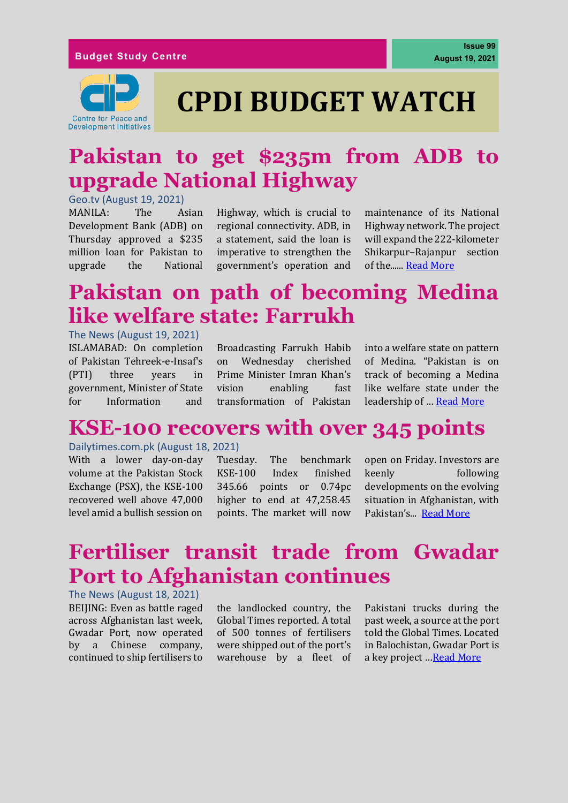

# **CPDI BUDGET WATCH**

# **Pakistan to get \$235m from ADB to upgrade National Highway**

Geo.tv (August 19, 2021) MANILA: The Asian Development Bank (ADB) on Thursday approved a \$235 million loan for Pakistan to upgrade the National

Highway, which is crucial to regional connectivity. ADB, in a statement, said the loan is imperative to strengthen the government's operation and maintenance of its National Highway network. The project will expand the 222-kilometer Shikarpur–Rajanpur section of the...... [Read More](https://www.geo.tv/latest/365987-pakistan-to-get-235mn-from-abp-for-upgrading-national-highway)

# **Pakistan on path of becoming Medina like welfare state: Farrukh**

#### The News (August 19, 2021)

ISLAMABAD: On completion of Pakistan Tehreek-e-Insaf's (PTI) three years in government, Minister of State for Information and

Broadcasting Farrukh Habib on Wednesday cherished Prime Minister Imran Khan's vision enabling fast transformation of Pakistan

into a welfare state on pattern of Medina. "Pakistan is on track of becoming a Medina like welfare state under the leadership of … [Read More](https://www.thenews.com.pk/print/880280-pakistan-on-path-of-becoming-medina-like-welfare-state-farrukh)

### **KSE-100 recovers with over 345 points**

### Dailytimes.com.pk (August 18, 2021)

With a lower day-on-day volume at the Pakistan Stock Exchange (PSX), the KSE-100 recovered well above 47,000 level amid a bullish session on

Tuesday. The benchmark KSE-100 Index finished 345.66 points or 0.74pc higher to end at 47,258.45 points. The market will now open on Friday. Investors are keenly following developments on the evolving situation in Afghanistan, with Pakistan's... [Read More](https://dailytimes.com.pk/805817/kse-100-recovers-with-over-345-points/)

# **Fertiliser transit trade from Gwadar Port to Afghanistan continues**

The News (August 18, 2021) BEIJING: Even as battle raged across Afghanistan last week, Gwadar Port, now operated by a Chinese company, continued to ship fertilisers to

the landlocked country, the Global Times reported. A total of 500 tonnes of fertilisers were shipped out of the port's warehouse by a fleet of Pakistani trucks during the past week, a source at the port told the Global Times. Located in Balochistan, Gwadar Port is a key project …[Read More](https://www.thenews.com.pk/print/879679-fertiliser-transit-trade-from-gwadar-port-to-afghanistan-continues)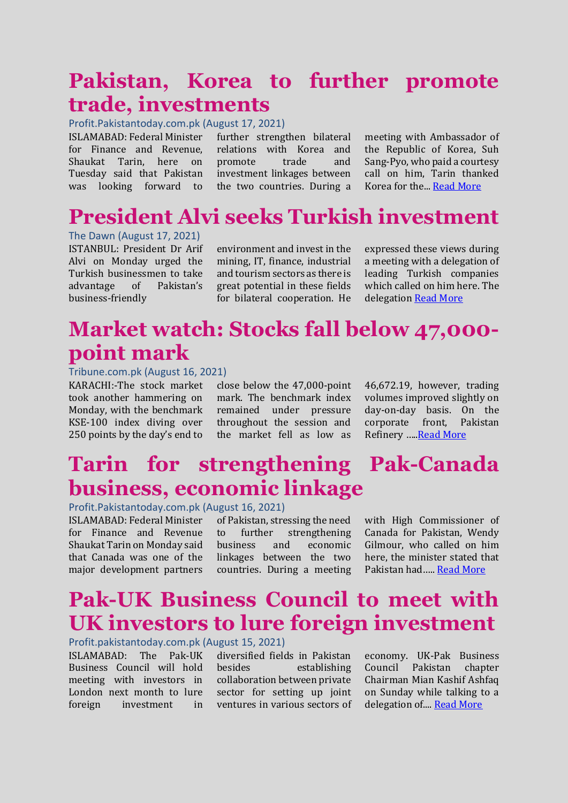### **Pakistan, Korea to further promote trade, investments**

Profit.Pakistantoday.com.pk (August 17, 2021)

ISLAMABAD: Federal Minister for Finance and Revenue, Shaukat Tarin, here on Tuesday said that Pakistan

was looking forward to the two countries. During a further strengthen bilateral relations with Korea and promote trade and investment linkages between

meeting with Ambassador of the Republic of Korea, Suh Sang-Pyo, who paid a courtesy call on him, Tarin thanked Korea for the... [Read More](https://profit.pakistantoday.com.pk/2021/08/17/pakistan-korea-to-further-promote-trade-investments/)

# **President Alvi seeks Turkish investment**

The Dawn (August 17, 2021) ISTANBUL: President Dr Arif Alvi on Monday urged the Turkish businessmen to take advantage of Pakistan's business-friendly

environment and invest in the mining, IT, finance, industrial and tourism sectors as there is great potential in these fields for bilateral cooperation. He expressed these views during a meeting with a delegation of leading Turkish companies which called on him here. The delegatio[n Read More](https://www.dawn.com/news/1641111)

# **Market watch: Stocks fall below 47,000 point mark**

#### Tribune.com.pk (August 16, 2021)

KARACHI:-The stock market took another hammering on Monday, with the benchmark KSE-100 index diving over 250 points by the day's end to

close below the 47,000-point mark. The benchmark index remained under pressure throughout the session and the market fell as low as 46,672.19, however, trading volumes improved slightly on day-on-day basis. On the corporate front, Pakistan Refinery ….[.Read More](https://tribune.com.pk/story/2315888/market-watch-stocks-fall-below-47000-point-mark)

# **Tarin for strengthening Pak-Canada business, economic linkage**

Profit.Pakistantoday.com.pk (August 16, 2021)

ISLAMABAD: Federal Minister for Finance and Revenue Shaukat Tarin on Monday said that Canada was one of the major development partners

of Pakistan, stressing the need to further strengthening business and economic linkages between the two countries. During a meeting with High Commissioner of Canada for Pakistan, Wendy Gilmour, who called on him here, the minister stated that Pakistan had….. [Read More](https://profit.pakistantoday.com.pk/2021/08/16/tarin-for-strengthening-pak-canada-business-economic-linkages/)

# **Pak-UK Business Council to meet with UK investors to lure foreign investment**

Profit.pakistantoday.com.pk (August 15, 2021)

ISLAMABAD: The Pak-UK Business Council will hold meeting with investors in London next month to lure foreign investment in

diversified fields in Pakistan besides establishing collaboration between private sector for setting up joint ventures in various sectors of economy. UK-Pak Business Council Pakistan chapter Chairman Mian Kashif Ashfaq on Sunday while talking to a delegation of.... [Read More](https://profit.pakistantoday.com.pk/2021/08/15/pak-uk-business-council-to-meet-with-uk-investors-to-lure-foreign-investment/)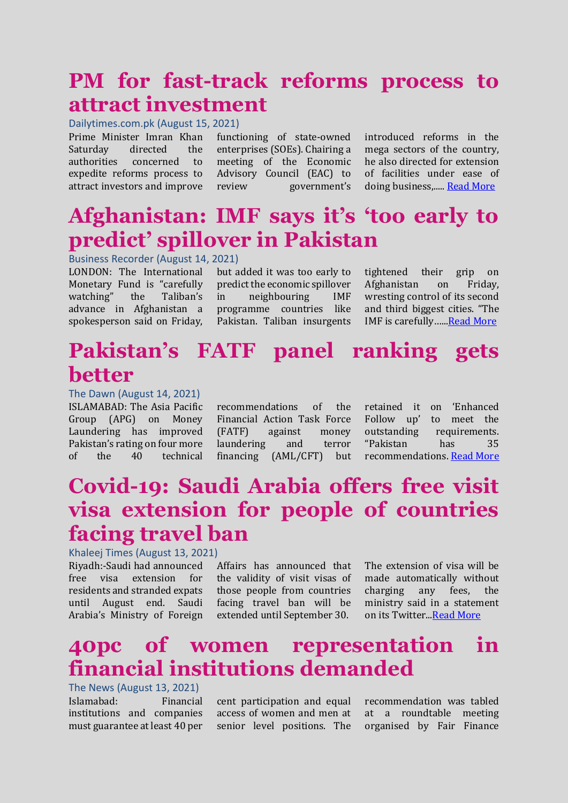# **PM for fast-track reforms process to attract investment**

Dailytimes.com.pk (August 15, 2021)

Prime Minister Imran Khan Saturday directed the authorities concerned to expedite reforms process to attract investors and improve

functioning of state-owned enterprises (SOEs). Chairing a meeting of the Economic Advisory Council (EAC) to review government's

introduced reforms in the mega sectors of the country, he also directed for extension of facilities under ease of doing business,....[. Read More](https://dailytimes.com.pk/804868/pm-for-fast-track-reforms-process-to-attract-investment/)

# **Afghanistan: IMF says it's 'too early to predict' spillover in Pakistan**

Business Recorder (August 14, 2021)

LONDON: The International Monetary Fund is "carefully watching" the Taliban's advance in Afghanistan a spokesperson said on Friday, but added it was too early to predict the economic spillover in neighbouring IMF programme countries like Pakistan. Taliban insurgents

tightened their grip on Afghanistan on Friday, wresting control of its second and third biggest cities. "The IMF is carefully ...... Read More

# **Pakistan's FATF panel ranking gets better**

The Dawn (August 14, 2021)

ISLAMABAD: The Asia Pacific Group (APG) on Money Laundering has improved Pakistan's rating on four more of the 40 technical

recommendations of the Financial Action Task Force (FATF) against money laundering and terror financing (AML/CFT) but

retained it on 'Enhanced Follow up' to meet the outstanding requirements. "Pakistan has 35 recommendations[. Read More](https://www.dawn.com/news/1640524)

# **Covid-19: Saudi Arabia offers free visit visa extension for people of countries facing travel ban**

Khaleej Times (August 13, 2021)

Riyadh:-Saudi had announced free visa extension for residents and stranded expats until August end. Saudi Arabia's Ministry of Foreign Affairs has announced that the validity of visit visas of those people from countries facing travel ban will be extended until September 30.

The extension of visa will be made automatically without charging any fees, the ministry said in a statement on its Twitter.[..Read More](https://www.khaleejtimes.com/coronavirus-pandemic/covid-19-saudi-arabia-offers-free-visit-visa-extension-for-people-of-countries-facing-travel-ban)

# **40pc of women representation in financial institutions demanded**

The News (August 13, 2021) Islamabad: Financial institutions and companies must guarantee at least 40 per

cent participation and equal access of women and men at senior level positions. The

recommendation was tabled at a roundtable meeting organised by Fair Finance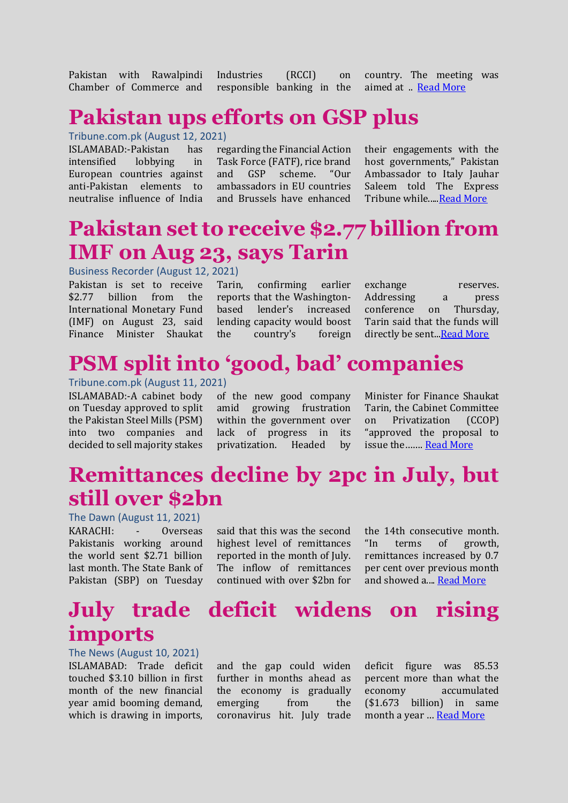Pakistan with Rawalpindi Chamber of Commerce and

Industries (RCCI) on responsible banking in the

country. The meeting was aimed at ... [Read More](https://www.thenews.com.pk/print/877699-40pc-of-women-representation-in-financial-institutions-demanded)

### **Pakistan ups efforts on GSP plus**

### Tribune.com.pk (August 12, 2021)

ISLAMABAD:-Pakistan has intensified lobbying in European countries against anti-Pakistan elements to neutralise influence of India

regarding the Financial Action Task Force (FATF), rice brand and GSP scheme. "Our ambassadors in EU countries and Brussels have enhanced

their engagements with the host governments," Pakistan Ambassador to Italy Jauhar Saleem told The Express Tribune while....[.Read More](https://www.dawn.com/news/1637559)

# **Pakistan set to receive \$2.77 billion from IMF on Aug 23, says Tarin**

#### Business Recorder (August 12, 2021)

Pakistan is set to receive \$2.77 billion from the International Monetary Fund (IMF) on August 23, said Finance Minister Shaukat

Tarin, confirming earlier reports that the Washingtonbased lender's increased lending capacity would boost the country's foreign

exchange reserves. Addressing a press conference on Thursday, Tarin said that the funds will directly be sent..[.Read More](https://www.brecorder.com/news/40113014)

### **PSM split into 'good, bad' companies**

Tribune.com.pk (August 11, 2021)

ISLAMABAD:-A cabinet body on Tuesday approved to split the Pakistan Steel Mills (PSM) into two companies and decided to sell majority stakes

of the new good company amid growing frustration within the government over lack of progress in its privatization. Headed by

Minister for Finance Shaukat Tarin, the Cabinet Committee on Privatization (CCOP) "approved the proposal to issue the……. [Read More](https://tribune.com.pk/story/2315027/psm-split-into-good-bad-companies)

# **Remittances decline by 2pc in July, but still over \$2bn**

The Dawn (August 11, 2021) KARACHI: - Overseas Pakistanis working around the world sent \$2.71 billion last month. The State Bank of Pakistan (SBP) on Tuesday

said that this was the second highest level of remittances reported in the month of July. The inflow of remittances continued with over \$2bn for the 14th consecutive month. "In terms of growth, remittances increased by 0.7 per cent over previous month and showed a...[. Read More](https://www.dawn.com/news/1639908)

### **July trade deficit widens on rising imports**

The News (August 10, 2021)

ISLAMABAD: Trade deficit touched \$3.10 billion in first month of the new financial year amid booming demand, which is drawing in imports,

and the gap could widen further in months ahead as the economy is gradually emerging from the coronavirus hit. July trade

deficit figure was 85.53 percent more than what the economy accumulated (\$1.673 billion) in same month a year … [Read More](https://www.thenews.com.pk/print/875875-july-trade-deficit-widens-on-rising-imports)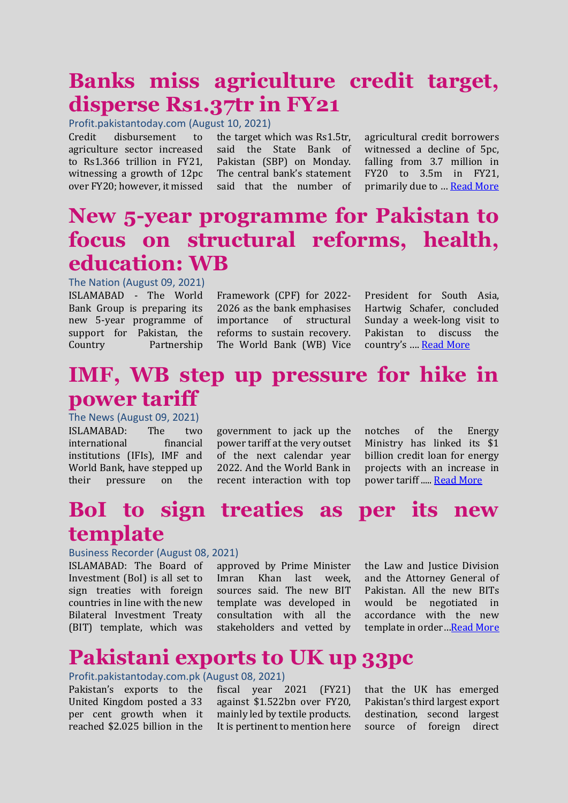# **Banks miss agriculture credit target, disperse Rs1.37tr in FY21**

Profit.pakistantoday.com (August 10, 2021)

Credit disbursement to agriculture sector increased to Rs1.366 trillion in FY21, witnessing a growth of 12pc over FY20; however, it missed the target which was Rs1.5tr, said the State Bank of Pakistan (SBP) on Monday. The central bank's statement said that the number of

agricultural credit borrowers witnessed a decline of 5pc, falling from 3.7 million in FY20 to 3.5m in FY21, primarily due to … [Read More](https://profit.pakistantoday.com.pk/2021/08/10/banks-miss-agriculture-credit-target-disperse-rs1-37tr-in-fy21/)

### **New 5-year programme for Pakistan to focus on structural reforms, health, education: WB**

The Nation (August 09, 2021) ISLAMABAD - The World Bank Group is preparing its new 5-year programme of support for Pakistan, the Country Partnership

Framework (CPF) for 2022- 2026 as the bank emphasises importance of structural reforms to sustain recovery. The World Bank (WB) Vice

President for South Asia, Hartwig Schafer, concluded Sunday a week-long visit to Pakistan to discuss the country's …. [Read More](https://nation.com.pk/09-Aug-2021/new-5-year-programme-for-pakistan-to-focus-on-structural-reforms-health-education-wb)

# **IMF, WB step up pressure for hike in power tariff**

The News (August 09, 2021) ISLAMABAD: The two international financial institutions (IFIs), IMF and World Bank, have stepped up their pressure on the

government to jack up the power tariff at the very outset of the next calendar year 2022. And the World Bank in recent interaction with top

notches of the Energy Ministry has linked its \$1 billion credit loan for energy projects with an increase in power tariff ..... [Read More](https://www.thenews.com.pk/print/875518-imf-wb-step-up-pressure-for-hike-in-power-tariff)

# **BoI to sign treaties as per its new template**

#### Business Recorder (August 08, 2021)

ISLAMABAD: The Board of Investment (BoI) is all set to sign treaties with foreign countries in line with the new Bilateral Investment Treaty (BIT) template, which was

approved by Prime Minister Imran Khan last week, sources said. The new BIT template was developed in consultation with all the stakeholders and vetted by the Law and Justice Division and the Attorney General of Pakistan. All the new BITs would be negotiated in accordance with the new template in order…[Read More](https://www.brecorder.com/news/40111942)

### **Pakistani exports to UK up 33pc**

#### Profit.pakistantoday.com.pk (August 08, 2021)

Pakistan's exports to the United Kingdom posted a 33 per cent growth when it reached \$2.025 billion in the fiscal year 2021 (FY21) against \$1.522bn over FY20, mainly led by textile products. It is pertinent to mention here

that the UK has emerged Pakistan's third largest export destination, second largest source of foreign direct